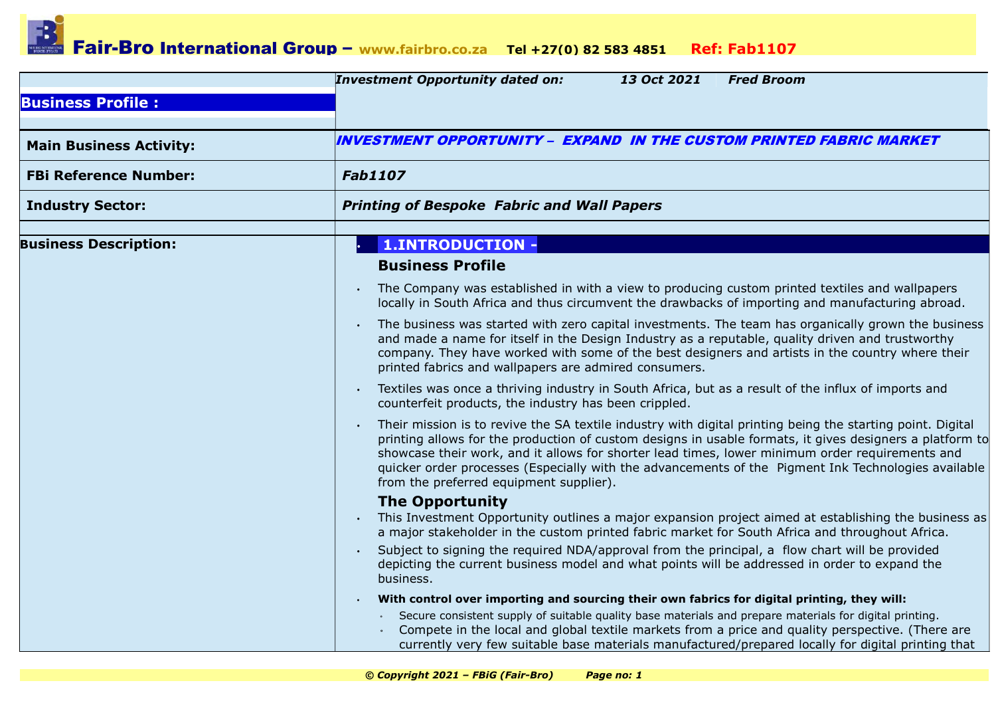|                                | <b>Investment Opportunity dated on:</b><br>13 Oct 2021<br><b>Fred Broom</b>                                                                                                                                                                                                                                                                                                                                                                                                 |
|--------------------------------|-----------------------------------------------------------------------------------------------------------------------------------------------------------------------------------------------------------------------------------------------------------------------------------------------------------------------------------------------------------------------------------------------------------------------------------------------------------------------------|
| <b>Business Profile:</b>       |                                                                                                                                                                                                                                                                                                                                                                                                                                                                             |
|                                |                                                                                                                                                                                                                                                                                                                                                                                                                                                                             |
| <b>Main Business Activity:</b> | INVESTMENT OPPORTUNITY – EXPAND IN THE CUSTOM PRINTED FABRIC MARKET                                                                                                                                                                                                                                                                                                                                                                                                         |
| <b>FBi Reference Number:</b>   | <b>Fab1107</b>                                                                                                                                                                                                                                                                                                                                                                                                                                                              |
| <b>Industry Sector:</b>        | <b>Printing of Bespoke Fabric and Wall Papers</b>                                                                                                                                                                                                                                                                                                                                                                                                                           |
|                                |                                                                                                                                                                                                                                                                                                                                                                                                                                                                             |
| <b>Business Description:</b>   | <b>1.INTRODUCTION -</b>                                                                                                                                                                                                                                                                                                                                                                                                                                                     |
|                                | <b>Business Profile</b>                                                                                                                                                                                                                                                                                                                                                                                                                                                     |
|                                | The Company was established in with a view to producing custom printed textiles and wallpapers<br>locally in South Africa and thus circumvent the drawbacks of importing and manufacturing abroad.                                                                                                                                                                                                                                                                          |
|                                | The business was started with zero capital investments. The team has organically grown the business<br>and made a name for itself in the Design Industry as a reputable, quality driven and trustworthy<br>company. They have worked with some of the best designers and artists in the country where their<br>printed fabrics and wallpapers are admired consumers.                                                                                                        |
|                                | Textiles was once a thriving industry in South Africa, but as a result of the influx of imports and<br>counterfeit products, the industry has been crippled.                                                                                                                                                                                                                                                                                                                |
|                                | Their mission is to revive the SA textile industry with digital printing being the starting point. Digital<br>printing allows for the production of custom designs in usable formats, it gives designers a platform to<br>showcase their work, and it allows for shorter lead times, lower minimum order requirements and<br>quicker order processes (Especially with the advancements of the Pigment Ink Technologies available<br>from the preferred equipment supplier). |
|                                | <b>The Opportunity</b>                                                                                                                                                                                                                                                                                                                                                                                                                                                      |
|                                | This Investment Opportunity outlines a major expansion project aimed at establishing the business as<br>a major stakeholder in the custom printed fabric market for South Africa and throughout Africa.                                                                                                                                                                                                                                                                     |
|                                | Subject to signing the required NDA/approval from the principal, a flow chart will be provided<br>depicting the current business model and what points will be addressed in order to expand the<br>business.                                                                                                                                                                                                                                                                |
|                                | With control over importing and sourcing their own fabrics for digital printing, they will:                                                                                                                                                                                                                                                                                                                                                                                 |
|                                | Secure consistent supply of suitable quality base materials and prepare materials for digital printing.<br>Compete in the local and global textile markets from a price and quality perspective. (There are<br>currently very few suitable base materials manufactured/prepared locally for digital printing that                                                                                                                                                           |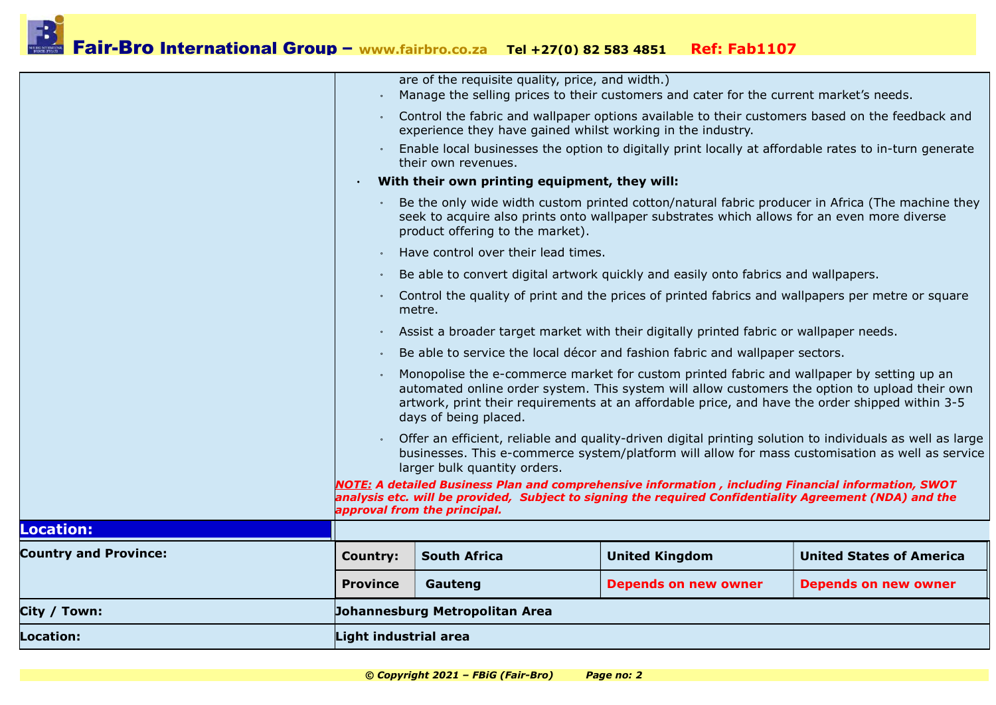| Location:                    | Light industrial area                                                                                                                                                                                                                                                                                                                                                                                                                                                                                                                                                                                                                                                                                                                                                                                                       |                                                                                                                                 |                             |                                                                                                       |  |  |  |
|------------------------------|-----------------------------------------------------------------------------------------------------------------------------------------------------------------------------------------------------------------------------------------------------------------------------------------------------------------------------------------------------------------------------------------------------------------------------------------------------------------------------------------------------------------------------------------------------------------------------------------------------------------------------------------------------------------------------------------------------------------------------------------------------------------------------------------------------------------------------|---------------------------------------------------------------------------------------------------------------------------------|-----------------------------|-------------------------------------------------------------------------------------------------------|--|--|--|
| City / Town:                 |                                                                                                                                                                                                                                                                                                                                                                                                                                                                                                                                                                                                                                                                                                                                                                                                                             | Johannesburg Metropolitan Area                                                                                                  |                             |                                                                                                       |  |  |  |
|                              | <b>Province</b>                                                                                                                                                                                                                                                                                                                                                                                                                                                                                                                                                                                                                                                                                                                                                                                                             | Gauteng                                                                                                                         | <b>Depends on new owner</b> | <b>Depends on new owner</b>                                                                           |  |  |  |
| <b>Country and Province:</b> | <b>Country:</b>                                                                                                                                                                                                                                                                                                                                                                                                                                                                                                                                                                                                                                                                                                                                                                                                             | <b>South Africa</b>                                                                                                             | <b>United Kingdom</b>       | <b>United States of America</b>                                                                       |  |  |  |
| <b>Location:</b>             |                                                                                                                                                                                                                                                                                                                                                                                                                                                                                                                                                                                                                                                                                                                                                                                                                             |                                                                                                                                 |                             |                                                                                                       |  |  |  |
|                              | Monopolise the e-commerce market for custom printed fabric and wallpaper by setting up an<br>automated online order system. This system will allow customers the option to upload their own<br>artwork, print their requirements at an affordable price, and have the order shipped within 3-5<br>days of being placed.<br>Offer an efficient, reliable and quality-driven digital printing solution to individuals as well as large<br>businesses. This e-commerce system/platform will allow for mass customisation as well as service<br>larger bulk quantity orders.<br>NOTE: A detailed Business Plan and comprehensive information , including Financial information, SWOT<br>analysis etc. will be provided, Subject to signing the required Confidentiality Agreement (NDA) and the<br>approval from the principal. |                                                                                                                                 |                             |                                                                                                       |  |  |  |
|                              |                                                                                                                                                                                                                                                                                                                                                                                                                                                                                                                                                                                                                                                                                                                                                                                                                             |                                                                                                                                 |                             |                                                                                                       |  |  |  |
|                              |                                                                                                                                                                                                                                                                                                                                                                                                                                                                                                                                                                                                                                                                                                                                                                                                                             |                                                                                                                                 |                             |                                                                                                       |  |  |  |
|                              |                                                                                                                                                                                                                                                                                                                                                                                                                                                                                                                                                                                                                                                                                                                                                                                                                             | Be able to service the local décor and fashion fabric and wallpaper sectors.                                                    |                             |                                                                                                       |  |  |  |
|                              |                                                                                                                                                                                                                                                                                                                                                                                                                                                                                                                                                                                                                                                                                                                                                                                                                             | Assist a broader target market with their digitally printed fabric or wallpaper needs.                                          |                             |                                                                                                       |  |  |  |
|                              |                                                                                                                                                                                                                                                                                                                                                                                                                                                                                                                                                                                                                                                                                                                                                                                                                             | Control the quality of print and the prices of printed fabrics and wallpapers per metre or square<br>metre.                     |                             |                                                                                                       |  |  |  |
|                              |                                                                                                                                                                                                                                                                                                                                                                                                                                                                                                                                                                                                                                                                                                                                                                                                                             | Be able to convert digital artwork quickly and easily onto fabrics and wallpapers.                                              |                             |                                                                                                       |  |  |  |
|                              |                                                                                                                                                                                                                                                                                                                                                                                                                                                                                                                                                                                                                                                                                                                                                                                                                             | Have control over their lead times.                                                                                             |                             |                                                                                                       |  |  |  |
|                              |                                                                                                                                                                                                                                                                                                                                                                                                                                                                                                                                                                                                                                                                                                                                                                                                                             | seek to acquire also prints onto wallpaper substrates which allows for an even more diverse<br>product offering to the market). |                             | Be the only wide width custom printed cotton/natural fabric producer in Africa (The machine they      |  |  |  |
|                              |                                                                                                                                                                                                                                                                                                                                                                                                                                                                                                                                                                                                                                                                                                                                                                                                                             | their own revenues.<br>With their own printing equipment, they will:                                                            |                             |                                                                                                       |  |  |  |
|                              |                                                                                                                                                                                                                                                                                                                                                                                                                                                                                                                                                                                                                                                                                                                                                                                                                             | experience they have gained whilst working in the industry.                                                                     |                             | Enable local businesses the option to digitally print locally at affordable rates to in-turn generate |  |  |  |
|                              |                                                                                                                                                                                                                                                                                                                                                                                                                                                                                                                                                                                                                                                                                                                                                                                                                             | Manage the selling prices to their customers and cater for the current market's needs.                                          |                             | Control the fabric and wallpaper options available to their customers based on the feedback and       |  |  |  |
|                              |                                                                                                                                                                                                                                                                                                                                                                                                                                                                                                                                                                                                                                                                                                                                                                                                                             | are of the requisite quality, price, and width.)                                                                                |                             |                                                                                                       |  |  |  |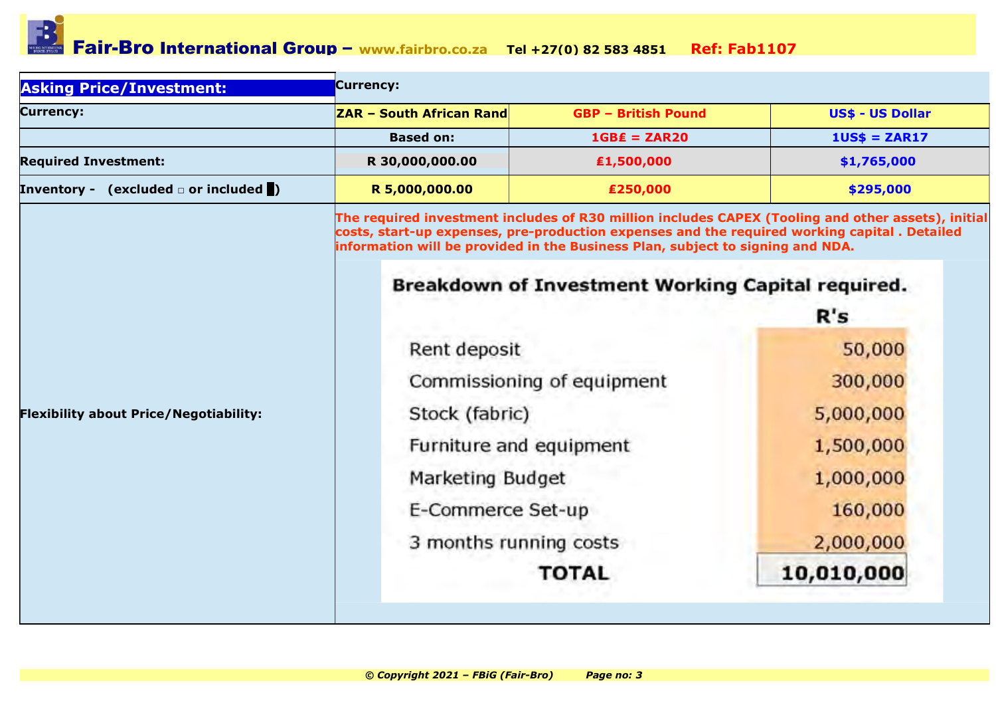| <b>Asking Price/Investment:</b>                   | Currency:                                                                                                                                                                                                                                                                                                                                 |                            |                         |  |  |  |  |
|---------------------------------------------------|-------------------------------------------------------------------------------------------------------------------------------------------------------------------------------------------------------------------------------------------------------------------------------------------------------------------------------------------|----------------------------|-------------------------|--|--|--|--|
| <b>Currency:</b>                                  | <b>ZAR - South African Rand</b>                                                                                                                                                                                                                                                                                                           | <b>GBP - British Pound</b> | <b>US\$ - US Dollar</b> |  |  |  |  |
|                                                   | <b>Based on:</b>                                                                                                                                                                                                                                                                                                                          | $1GBE = ZAR20$             | $1US$ = ZAR17$          |  |  |  |  |
| <b>Required Investment:</b>                       | R 30,000,000.00                                                                                                                                                                                                                                                                                                                           | ₤1,500,000                 | \$1,765,000             |  |  |  |  |
| Inventory - (excluded $\Box$ or included $\Box$ ) | R 5,000,000.00                                                                                                                                                                                                                                                                                                                            | €250,000                   | \$295,000               |  |  |  |  |
| <b>Flexibility about Price/Negotiability:</b>     | The required investment includes of R30 million includes CAPEX (Tooling and other assets), initial<br>costs, start-up expenses, pre-production expenses and the required working capital. Detailed<br>information will be provided in the Business Plan, subject to signing and NDA.<br>Breakdown of Investment Working Capital required. |                            |                         |  |  |  |  |
|                                                   |                                                                                                                                                                                                                                                                                                                                           | R's                        |                         |  |  |  |  |
|                                                   | Rent deposit                                                                                                                                                                                                                                                                                                                              |                            | 50,000                  |  |  |  |  |
|                                                   |                                                                                                                                                                                                                                                                                                                                           | Commissioning of equipment | 300,000                 |  |  |  |  |
|                                                   | Stock (fabric)                                                                                                                                                                                                                                                                                                                            |                            | 5,000,000               |  |  |  |  |
|                                                   | Furniture and equipment                                                                                                                                                                                                                                                                                                                   |                            | 1,500,000               |  |  |  |  |
|                                                   | Marketing Budget                                                                                                                                                                                                                                                                                                                          |                            | 1,000,000               |  |  |  |  |
|                                                   | E-Commerce Set-up                                                                                                                                                                                                                                                                                                                         |                            | 160,000                 |  |  |  |  |
|                                                   | 3 months running costs                                                                                                                                                                                                                                                                                                                    |                            | 2,000,000               |  |  |  |  |
|                                                   |                                                                                                                                                                                                                                                                                                                                           | <b>TOTAL</b>               | 10,010,000              |  |  |  |  |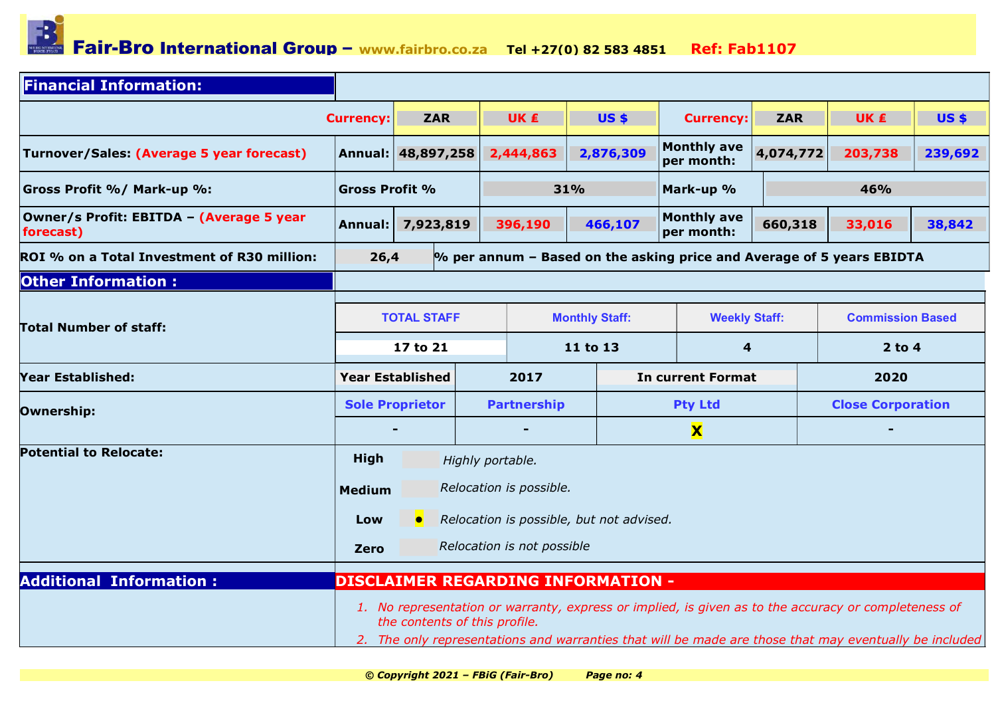

| <b>Financial Information:</b>                         |                                                                                                                                                                                                                                                 |                    |                  |                         |                       |              |                                                                         |            |                          |             |
|-------------------------------------------------------|-------------------------------------------------------------------------------------------------------------------------------------------------------------------------------------------------------------------------------------------------|--------------------|------------------|-------------------------|-----------------------|--------------|-------------------------------------------------------------------------|------------|--------------------------|-------------|
|                                                       | <b>Currency:</b>                                                                                                                                                                                                                                | <b>ZAR</b>         |                  | <b>UK</b> ₤             |                       | <b>US \$</b> | <b>Currency:</b>                                                        | <b>ZAR</b> | <b>UK</b> €              | <b>US\$</b> |
| Turnover/Sales: (Average 5 year forecast)             |                                                                                                                                                                                                                                                 | Annual: 48,897,258 |                  | 2,444,863               |                       | 2,876,309    | <b>Monthly ave</b><br>per month:                                        | 4,074,772  | 203,738                  | 239,692     |
| <b>Gross Profit %/ Mark-up %:</b>                     | <b>Gross Profit %</b>                                                                                                                                                                                                                           |                    |                  | 31%                     |                       |              | Mark-up %                                                               |            | 46%                      |             |
| Owner/s Profit: EBITDA - (Average 5 year<br>forecast) | Annual:                                                                                                                                                                                                                                         | 7,923,819          |                  | 396,190                 |                       | 466,107      | <b>Monthly ave</b><br>per month:                                        | 660,318    | 33,016                   | 38,842      |
| ROI % on a Total Investment of R30 million:           | 26,4                                                                                                                                                                                                                                            |                    |                  |                         |                       |              | $%$ per annum – Based on the asking price and Average of 5 years EBIDTA |            |                          |             |
| <b>Other Information:</b>                             |                                                                                                                                                                                                                                                 |                    |                  |                         |                       |              |                                                                         |            |                          |             |
| <b>Total Number of staff:</b>                         | <b>TOTAL STAFF</b>                                                                                                                                                                                                                              |                    |                  |                         | <b>Monthly Staff:</b> |              | <b>Weekly Staff:</b>                                                    |            | <b>Commission Based</b>  |             |
|                                                       | 17 to 21                                                                                                                                                                                                                                        |                    |                  | 11 to 13                |                       |              | 4                                                                       |            | $2$ to 4                 |             |
| Year Established:                                     | <b>Year Established</b>                                                                                                                                                                                                                         |                    |                  | 2017                    |                       |              | <b>In current Format</b>                                                |            | 2020                     |             |
| Ownership:                                            | <b>Sole Proprietor</b>                                                                                                                                                                                                                          |                    |                  | <b>Partnership</b>      |                       |              | <b>Pty Ltd</b>                                                          |            | <b>Close Corporation</b> |             |
|                                                       |                                                                                                                                                                                                                                                 |                    |                  |                         |                       |              | $\mathbf x$                                                             |            |                          |             |
| <b>Potential to Relocate:</b>                         | <b>High</b>                                                                                                                                                                                                                                     |                    | Highly portable. |                         |                       |              |                                                                         |            |                          |             |
|                                                       | <b>Medium</b>                                                                                                                                                                                                                                   |                    |                  | Relocation is possible. |                       |              |                                                                         |            |                          |             |
|                                                       | Relocation is possible, but not advised.<br>Low                                                                                                                                                                                                 |                    |                  |                         |                       |              |                                                                         |            |                          |             |
|                                                       |                                                                                                                                                                                                                                                 |                    |                  |                         |                       |              |                                                                         |            |                          |             |
|                                                       | Relocation is not possible<br><b>Zero</b>                                                                                                                                                                                                       |                    |                  |                         |                       |              |                                                                         |            |                          |             |
| <b>Additional Information:</b>                        | <b>DISCLAIMER REGARDING INFORMATION -</b>                                                                                                                                                                                                       |                    |                  |                         |                       |              |                                                                         |            |                          |             |
|                                                       | 1. No representation or warranty, express or implied, is given as to the accuracy or completeness of<br>the contents of this profile.<br>2. The only representations and warranties that will be made are those that may eventually be included |                    |                  |                         |                       |              |                                                                         |            |                          |             |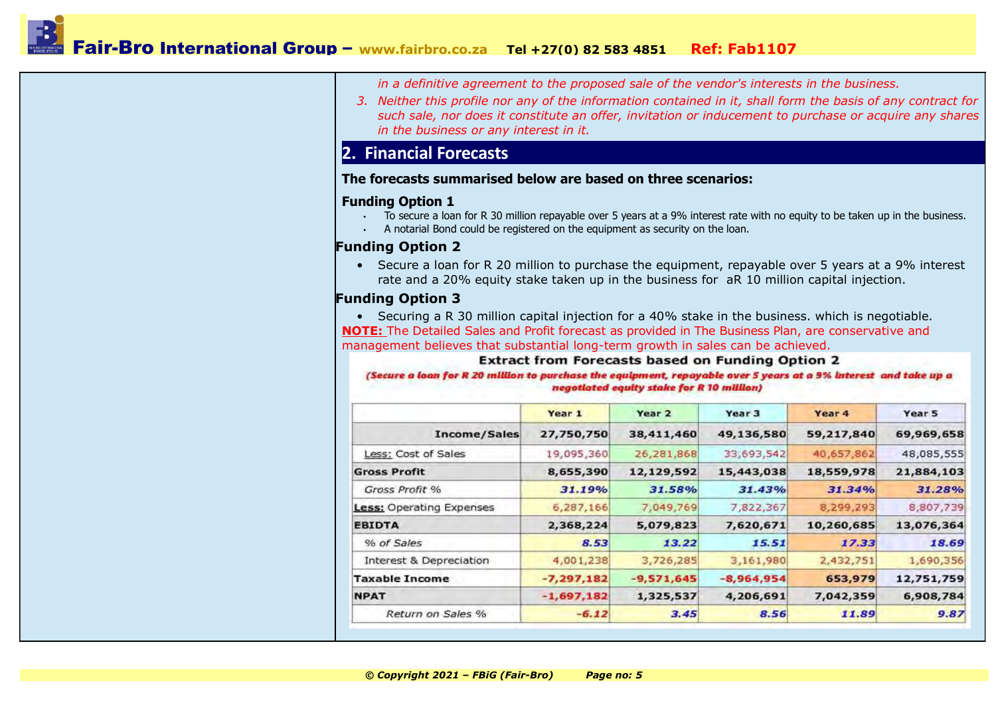in a definitive agreement to the proposed sale of the vendor's interests in the business.

3. Neither this profile nor any of the information contained in it, shall form the basis of any contract for such sale, nor does it constitute an offer, invitation or inducement to purchase or acquire any shares in the business or any interest in it.

### 2. Financial Forecasts

#### The forecasts summarised below are based on three scenarios:

#### Funding Option 1

- To secure a loan for R 30 million repayable over 5 years at a 9% interest rate with no equity to be taken up in the business.
- A notarial Bond could be registered on the equipment as security on the loan.

#### Funding Option 2

• Secure a loan for R 20 million to purchase the equipment, repayable over 5 years at a 9% interest rate and a 20% equity stake taken up in the business for aR 10 million capital injection.

#### Funding Option 3

• Securing a R 30 million capital injection for a 40% stake in the business. which is negotiable. NOTE: The Detailed Sales and Profit forecast as provided in The Business Plan, are conservative and management believes that substantial long-term growth in sales can be achieved.

#### **Extract from Forecasts based on Funding Option 2**

(Secure a loan for R 20 million to purchase the equipment, repayable over 5 years at a 9% interest and take up a negotiated equity stake for R 10 million)

|                                 | Year 1       | Year <sub>2</sub> | Year 3       | Year 4     | Year 5     |
|---------------------------------|--------------|-------------------|--------------|------------|------------|
| Income/Sales                    | 27,750,750   | 38,411,460        | 49,136,580   | 59,217,840 | 69,969,658 |
| Less: Cost of Sales             | 19,095,360   | 26,281,868        | 33,693,542   | 40,657,862 | 48,085,555 |
| <b>Gross Profit</b>             | 8,655,390    | 12,129,592        | 15,443,038   | 18,559,978 | 21,884,103 |
| Gross Profit %                  | 31.19%       | 31.58%            | 31.43%       | 31.34%     | 31.28%     |
| <b>Less: Operating Expenses</b> | 6,287,166    | 7,049,769         | 7,822,367    | 8,299,293  | 8,807,739  |
| <b>EBIDTA</b>                   | 2,368,224    | 5,079,823         | 7,620,671    | 10,260,685 | 13,076,364 |
| % of Sales                      | 8.53         | 13.22             | 15.51        | 17.33      | 18.69      |
| Interest & Depreciation         | 4,001,238    | 3,726,285         | 3,161,980    | 2,432,751  | 1,690,356  |
| <b>Taxable Income</b>           | $-7,297,182$ | $-9,571,645$      | $-8,964,954$ | 653,979    | 12,751,759 |
| <b>NPAT</b>                     | $-1,697,182$ | 1,325,537         | 4,206,691    | 7,042,359  | 6,908,784  |
| Return on Sales %               | $-6.12$      | 3.45              | 8.56         | 11.89      | 9.87       |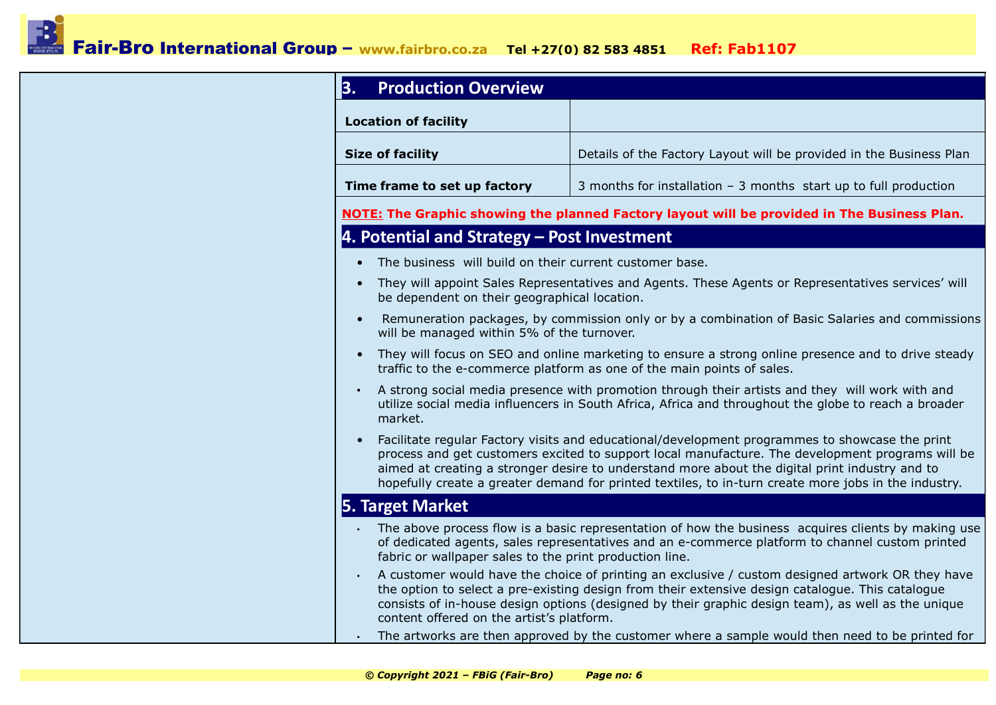| <b>Production Overview</b><br>3.                        |                                                                                                                                                                                                                                                                                                                                                                                                              |
|---------------------------------------------------------|--------------------------------------------------------------------------------------------------------------------------------------------------------------------------------------------------------------------------------------------------------------------------------------------------------------------------------------------------------------------------------------------------------------|
| <b>Location of facility</b>                             |                                                                                                                                                                                                                                                                                                                                                                                                              |
| <b>Size of facility</b>                                 | Details of the Factory Layout will be provided in the Business Plan                                                                                                                                                                                                                                                                                                                                          |
| Time frame to set up factory                            | 3 months for installation $-$ 3 months start up to full production                                                                                                                                                                                                                                                                                                                                           |
|                                                         | <b>NOTE:</b> The Graphic showing the planned Factory layout will be provided in The Business Plan.                                                                                                                                                                                                                                                                                                           |
| 4. Potential and Strategy - Post Investment             |                                                                                                                                                                                                                                                                                                                                                                                                              |
| The business will build on their current customer base. |                                                                                                                                                                                                                                                                                                                                                                                                              |
| be dependent on their geographical location.            | They will appoint Sales Representatives and Agents. These Agents or Representatives services' will                                                                                                                                                                                                                                                                                                           |
| will be managed within 5% of the turnover.              | Remuneration packages, by commission only or by a combination of Basic Salaries and commissions                                                                                                                                                                                                                                                                                                              |
|                                                         | They will focus on SEO and online marketing to ensure a strong online presence and to drive steady<br>traffic to the e-commerce platform as one of the main points of sales.                                                                                                                                                                                                                                 |
| market.                                                 | A strong social media presence with promotion through their artists and they will work with and<br>utilize social media influencers in South Africa, Africa and throughout the globe to reach a broader                                                                                                                                                                                                      |
|                                                         | Facilitate regular Factory visits and educational/development programmes to showcase the print<br>process and get customers excited to support local manufacture. The development programs will be<br>aimed at creating a stronger desire to understand more about the digital print industry and to<br>hopefully create a greater demand for printed textiles, to in-turn create more jobs in the industry. |
| 5. Target Market                                        |                                                                                                                                                                                                                                                                                                                                                                                                              |
| fabric or wallpaper sales to the print production line. | The above process flow is a basic representation of how the business acquires clients by making use<br>of dedicated agents, sales representatives and an e-commerce platform to channel custom printed                                                                                                                                                                                                       |
| content offered on the artist's platform.               | A customer would have the choice of printing an exclusive / custom designed artwork OR they have<br>the option to select a pre-existing design from their extensive design catalogue. This catalogue<br>consists of in-house design options (designed by their graphic design team), as well as the unique                                                                                                   |
|                                                         | The artworks are then approved by the customer where a sample would then need to be printed for                                                                                                                                                                                                                                                                                                              |